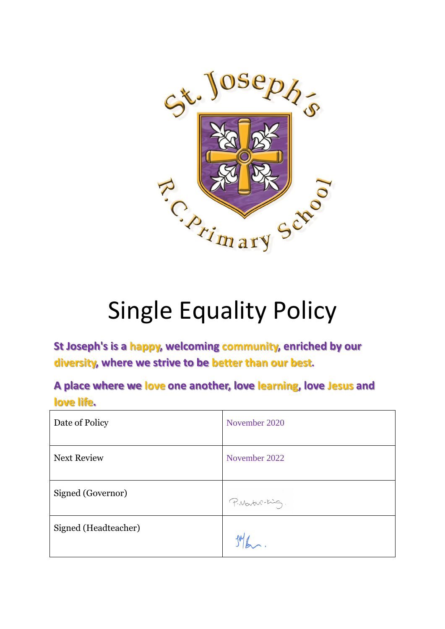

# Single Equality Policy

**St Joseph's is a happy, welcoming community, enriched by our diversity, where we strive to be better than our best.**

**A place where we love one another, love learning, love Jesus and love life.**

| Date of Policy       | November 2020   |
|----------------------|-----------------|
| <b>Next Review</b>   | November 2022   |
| Signed (Governor)    | P. Martin-King. |
| Signed (Headteacher) |                 |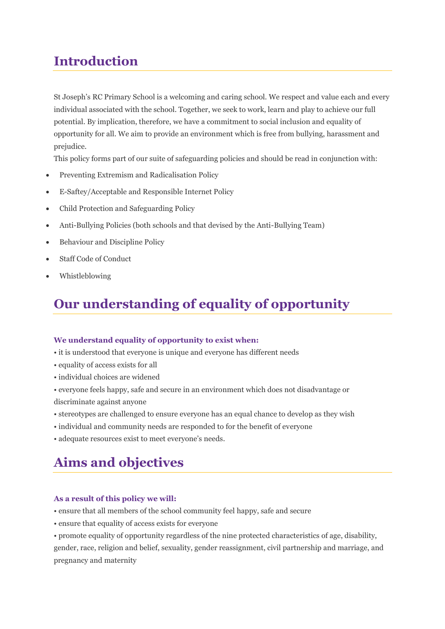# **Introduction**

St Joseph's RC Primary School is a welcoming and caring school. We respect and value each and every individual associated with the school. Together, we seek to work, learn and play to achieve our full potential. By implication, therefore, we have a commitment to social inclusion and equality of opportunity for all. We aim to provide an environment which is free from bullying, harassment and prejudice.

This policy forms part of our suite of safeguarding policies and should be read in conjunction with:

- Preventing Extremism and Radicalisation Policy
- E-Saftey/Acceptable and Responsible Internet Policy
- Child Protection and Safeguarding Policy
- Anti-Bullying Policies (both schools and that devised by the Anti-Bullying Team)
- Behaviour and Discipline Policy
- Staff Code of Conduct
- Whistleblowing

# **Our understanding of equality of opportunity**

#### **We understand equality of opportunity to exist when:**

- it is understood that everyone is unique and everyone has different needs
- equality of access exists for all
- individual choices are widened
- everyone feels happy, safe and secure in an environment which does not disadvantage or discriminate against anyone
- stereotypes are challenged to ensure everyone has an equal chance to develop as they wish
- individual and community needs are responded to for the benefit of everyone
- adequate resources exist to meet everyone's needs.

### **Aims and objectives**

#### **As a result of this policy we will:**

- ensure that all members of the school community feel happy, safe and secure
- ensure that equality of access exists for everyone

• promote equality of opportunity regardless of the nine protected characteristics of age, disability, gender, race, religion and belief, sexuality, gender reassignment, civil partnership and marriage, and pregnancy and maternity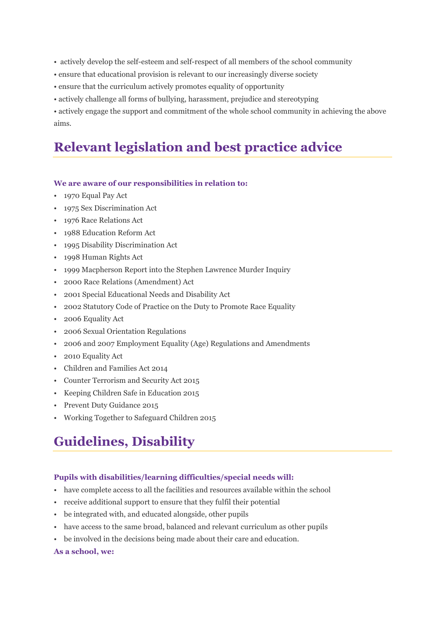• actively develop the self-esteem and self-respect of all members of the school community

- ensure that educational provision is relevant to our increasingly diverse society
- ensure that the curriculum actively promotes equality of opportunity
- actively challenge all forms of bullying, harassment, prejudice and stereotyping

• actively engage the support and commitment of the whole school community in achieving the above aims.

# **Relevant legislation and best practice advice**

#### **We are aware of our responsibilities in relation to:**

- 1970 Equal Pay Act
- 1975 Sex Discrimination Act
- 1976 Race Relations Act
- 1988 Education Reform Act
- 1995 Disability Discrimination Act
- 1998 Human Rights Act
- 1999 Macpherson Report into the Stephen Lawrence Murder Inquiry
- 2000 Race Relations (Amendment) Act
- 2001 Special Educational Needs and Disability Act
- 2002 Statutory Code of Practice on the Duty to Promote Race Equality
- 2006 Equality Act
- 2006 Sexual Orientation Regulations
- 2006 and 2007 Employment Equality (Age) Regulations and Amendments
- 2010 Equality Act
- Children and Families Act 2014
- Counter Terrorism and Security Act 2015
- Keeping Children Safe in Education 2015
- Prevent Duty Guidance 2015
- Working Together to Safeguard Children 2015

# **Guidelines, Disability**

#### **Pupils with disabilities/learning difficulties/special needs will:**

- have complete access to all the facilities and resources available within the school
- receive additional support to ensure that they fulfil their potential
- be integrated with, and educated alongside, other pupils
- have access to the same broad, balanced and relevant curriculum as other pupils
- be involved in the decisions being made about their care and education.

#### **As a school, we:**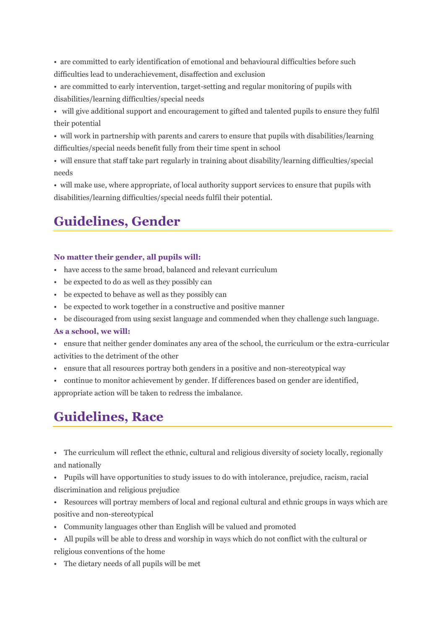• are committed to early identification of emotional and behavioural difficulties before such difficulties lead to underachievement, disaffection and exclusion

- are committed to early intervention, target-setting and regular monitoring of pupils with disabilities/learning difficulties/special needs
- will give additional support and encouragement to gifted and talented pupils to ensure they fulfil their potential
- will work in partnership with parents and carers to ensure that pupils with disabilities/learning difficulties/special needs benefit fully from their time spent in school
- will ensure that staff take part regularly in training about disability/learning difficulties/special needs

• will make use, where appropriate, of local authority support services to ensure that pupils with disabilities/learning difficulties/special needs fulfil their potential.

# **Guidelines, Gender**

#### **No matter their gender, all pupils will:**

- have access to the same broad, balanced and relevant curriculum
- be expected to do as well as they possibly can
- be expected to behave as well as they possibly can
- be expected to work together in a constructive and positive manner
- be discouraged from using sexist language and commended when they challenge such language.

#### **As a school, we will:**

- ensure that neither gender dominates any area of the school, the curriculum or the extra-curricular activities to the detriment of the other
- ensure that all resources portray both genders in a positive and non-stereotypical way
- continue to monitor achievement by gender. If differences based on gender are identified,

appropriate action will be taken to redress the imbalance.

# **Guidelines, Race**

- The curriculum will reflect the ethnic, cultural and religious diversity of society locally, regionally and nationally
- Pupils will have opportunities to study issues to do with intolerance, prejudice, racism, racial discrimination and religious prejudice
- Resources will portray members of local and regional cultural and ethnic groups in ways which are positive and non-stereotypical
- Community languages other than English will be valued and promoted
- All pupils will be able to dress and worship in ways which do not conflict with the cultural or religious conventions of the home
- The dietary needs of all pupils will be met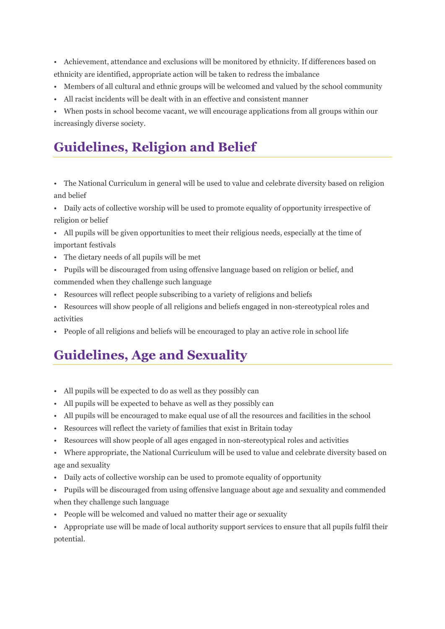• Achievement, attendance and exclusions will be monitored by ethnicity. If differences based on ethnicity are identified, appropriate action will be taken to redress the imbalance

- Members of all cultural and ethnic groups will be welcomed and valued by the school community
- All racist incidents will be dealt with in an effective and consistent manner

• When posts in school become vacant, we will encourage applications from all groups within our increasingly diverse society.

# **Guidelines, Religion and Belief**

• The National Curriculum in general will be used to value and celebrate diversity based on religion and belief

• Daily acts of collective worship will be used to promote equality of opportunity irrespective of religion or belief

- All pupils will be given opportunities to meet their religious needs, especially at the time of important festivals
- The dietary needs of all pupils will be met
- Pupils will be discouraged from using offensive language based on religion or belief, and commended when they challenge such language
- Resources will reflect people subscribing to a variety of religions and beliefs
- Resources will show people of all religions and beliefs engaged in non-stereotypical roles and activities
- People of all religions and beliefs will be encouraged to play an active role in school life

# **Guidelines, Age and Sexuality**

- All pupils will be expected to do as well as they possibly can
- All pupils will be expected to behave as well as they possibly can
- All pupils will be encouraged to make equal use of all the resources and facilities in the school
- Resources will reflect the variety of families that exist in Britain today
- Resources will show people of all ages engaged in non-stereotypical roles and activities
- Where appropriate, the National Curriculum will be used to value and celebrate diversity based on age and sexuality
- Daily acts of collective worship can be used to promote equality of opportunity
- Pupils will be discouraged from using offensive language about age and sexuality and commended when they challenge such language
- People will be welcomed and valued no matter their age or sexuality
- Appropriate use will be made of local authority support services to ensure that all pupils fulfil their potential.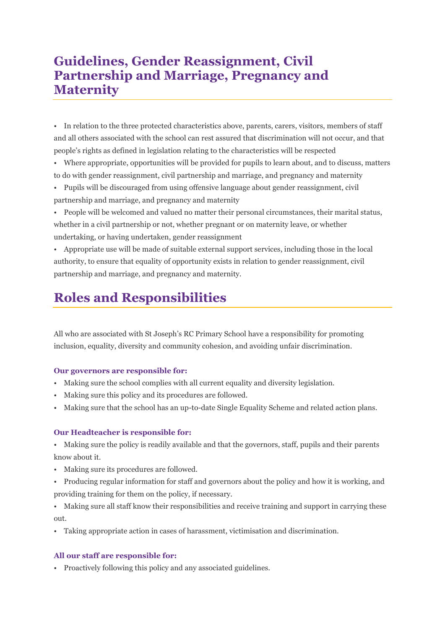### **Guidelines, Gender Reassignment, Civil Partnership and Marriage, Pregnancy and Maternity**

• In relation to the three protected characteristics above, parents, carers, visitors, members of staff and all others associated with the school can rest assured that discrimination will not occur, and that people's rights as defined in legislation relating to the characteristics will be respected

• Where appropriate, opportunities will be provided for pupils to learn about, and to discuss, matters to do with gender reassignment, civil partnership and marriage, and pregnancy and maternity

- Pupils will be discouraged from using offensive language about gender reassignment, civil partnership and marriage, and pregnancy and maternity
- People will be welcomed and valued no matter their personal circumstances, their marital status, whether in a civil partnership or not, whether pregnant or on maternity leave, or whether undertaking, or having undertaken, gender reassignment

• Appropriate use will be made of suitable external support services, including those in the local authority, to ensure that equality of opportunity exists in relation to gender reassignment, civil partnership and marriage, and pregnancy and maternity.

# **Roles and Responsibilities**

All who are associated with St Joseph's RC Primary School have a responsibility for promoting inclusion, equality, diversity and community cohesion, and avoiding unfair discrimination.

#### **Our governors are responsible for:**

- Making sure the school complies with all current equality and diversity legislation.
- Making sure this policy and its procedures are followed.
- Making sure that the school has an up-to-date Single Equality Scheme and related action plans.

#### **Our Headteacher is responsible for:**

• Making sure the policy is readily available and that the governors, staff, pupils and their parents know about it.

- Making sure its procedures are followed.
- Producing regular information for staff and governors about the policy and how it is working, and providing training for them on the policy, if necessary.
- Making sure all staff know their responsibilities and receive training and support in carrying these out.
- Taking appropriate action in cases of harassment, victimisation and discrimination.

#### **All our staff are responsible for:**

• Proactively following this policy and any associated guidelines.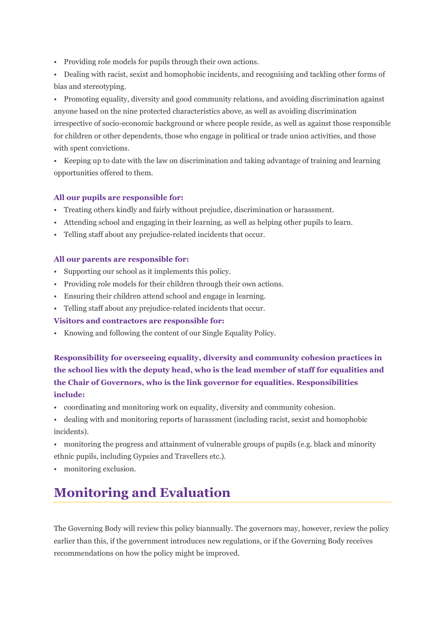• Providing role models for pupils through their own actions.

• Dealing with racist, sexist and homophobic incidents, and recognising and tackling other forms of bias and stereotyping.

• Promoting equality, diversity and good community relations, and avoiding discrimination against anyone based on the nine protected characteristics above, as well as avoiding discrimination irrespective of socio-economic background or where people reside, as well as against those responsible for children or other dependents, those who engage in political or trade union activities, and those with spent convictions.

• Keeping up to date with the law on discrimination and taking advantage of training and learning opportunities offered to them.

#### **All our pupils are responsible for:**

- Treating others kindly and fairly without prejudice, discrimination or harassment.
- Attending school and engaging in their learning, as well as helping other pupils to learn.
- Telling staff about any prejudice-related incidents that occur.

#### **All our parents are responsible for:**

- Supporting our school as it implements this policy.
- Providing role models for their children through their own actions.
- Ensuring their children attend school and engage in learning.
- Telling staff about any prejudice-related incidents that occur.

#### **Visitors and contractors are responsible for:**

• Knowing and following the content of our Single Equality Policy.

**Responsibility for overseeing equality, diversity and community cohesion practices in the school lies with the deputy head, who is the lead member of staff for equalities and the Chair of Governors, who is the link governor for equalities. Responsibilities include:**

- coordinating and monitoring work on equality, diversity and community cohesion.
- dealing with and monitoring reports of harassment (including racist, sexist and homophobic incidents).
- monitoring the progress and attainment of vulnerable groups of pupils (e.g. black and minority ethnic pupils, including Gypsies and Travellers etc.).
- monitoring exclusion.

# **Monitoring and Evaluation**

The Governing Body will review this policy biannually. The governors may, however, review the policy earlier than this, if the government introduces new regulations, or if the Governing Body receives recommendations on how the policy might be improved.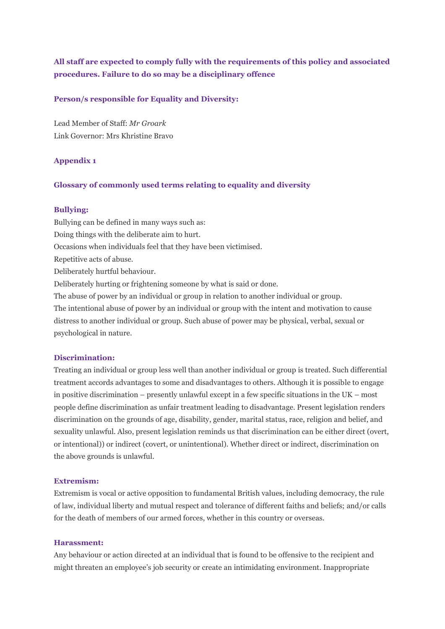#### **All staff are expected to comply fully with the requirements of this policy and associated procedures. Failure to do so may be a disciplinary offence**

#### **Person/s responsible for Equality and Diversity:**

Lead Member of Staff: *Mr Groark* Link Governor: Mrs Khristine Bravo

#### **Appendix 1**

#### **Glossary of commonly used terms relating to equality and diversity**

#### **Bullying:**

Bullying can be defined in many ways such as: Doing things with the deliberate aim to hurt. Occasions when individuals feel that they have been victimised. Repetitive acts of abuse. Deliberately hurtful behaviour. Deliberately hurting or frightening someone by what is said or done. The abuse of power by an individual or group in relation to another individual or group. The intentional abuse of power by an individual or group with the intent and motivation to cause distress to another individual or group. Such abuse of power may be physical, verbal, sexual or

psychological in nature.

#### **Discrimination:**

Treating an individual or group less well than another individual or group is treated. Such differential treatment accords advantages to some and disadvantages to others. Although it is possible to engage in positive discrimination – presently unlawful except in a few specific situations in the UK – most people define discrimination as unfair treatment leading to disadvantage. Present legislation renders discrimination on the grounds of age, disability, gender, marital status, race, religion and belief, and sexuality unlawful. Also, present legislation reminds us that discrimination can be either direct (overt, or intentional)) or indirect (covert, or unintentional). Whether direct or indirect, discrimination on the above grounds is unlawful.

#### **Extremism:**

Extremism is vocal or active opposition to fundamental British values, including democracy, the rule of law, individual liberty and mutual respect and tolerance of different faiths and beliefs; and/or calls for the death of members of our armed forces, whether in this country or overseas.

#### **Harassment:**

Any behaviour or action directed at an individual that is found to be offensive to the recipient and might threaten an employee's job security or create an intimidating environment. Inappropriate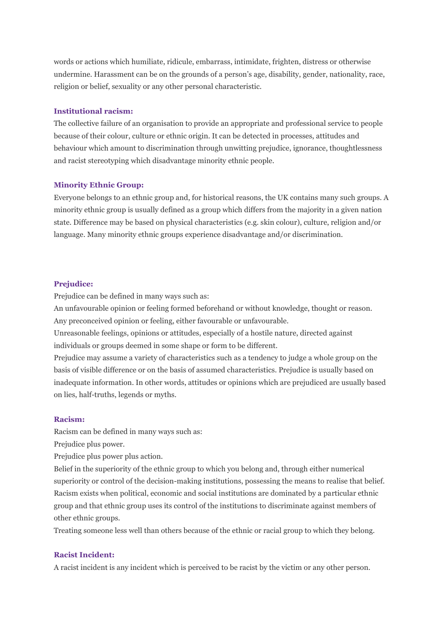words or actions which humiliate, ridicule, embarrass, intimidate, frighten, distress or otherwise undermine. Harassment can be on the grounds of a person's age, disability, gender, nationality, race, religion or belief, sexuality or any other personal characteristic.

#### **Institutional racism:**

The collective failure of an organisation to provide an appropriate and professional service to people because of their colour, culture or ethnic origin. It can be detected in processes, attitudes and behaviour which amount to discrimination through unwitting prejudice, ignorance, thoughtlessness and racist stereotyping which disadvantage minority ethnic people.

#### **Minority Ethnic Group:**

Everyone belongs to an ethnic group and, for historical reasons, the UK contains many such groups. A minority ethnic group is usually defined as a group which differs from the majority in a given nation state. Difference may be based on physical characteristics (e.g. skin colour), culture, religion and/or language. Many minority ethnic groups experience disadvantage and/or discrimination.

#### **Prejudice:**

Prejudice can be defined in many ways such as:

An unfavourable opinion or feeling formed beforehand or without knowledge, thought or reason. Any preconceived opinion or feeling, either favourable or unfavourable.

Unreasonable feelings, opinions or attitudes, especially of a hostile nature, directed against individuals or groups deemed in some shape or form to be different.

Prejudice may assume a variety of characteristics such as a tendency to judge a whole group on the basis of visible difference or on the basis of assumed characteristics. Prejudice is usually based on inadequate information. In other words, attitudes or opinions which are prejudiced are usually based on lies, half-truths, legends or myths.

#### **Racism:**

Racism can be defined in many ways such as:

Prejudice plus power.

Prejudice plus power plus action.

Belief in the superiority of the ethnic group to which you belong and, through either numerical superiority or control of the decision-making institutions, possessing the means to realise that belief. Racism exists when political, economic and social institutions are dominated by a particular ethnic group and that ethnic group uses its control of the institutions to discriminate against members of other ethnic groups.

Treating someone less well than others because of the ethnic or racial group to which they belong.

#### **Racist Incident:**

A racist incident is any incident which is perceived to be racist by the victim or any other person.